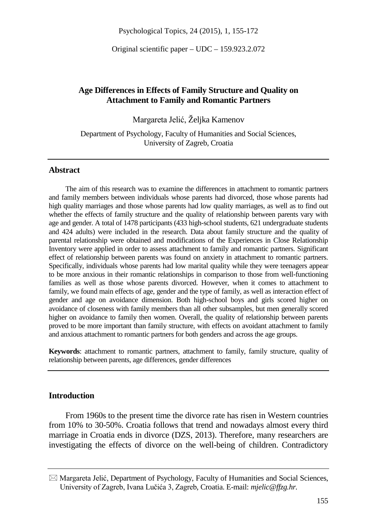Psychological Topics, 24 (2015), 1, 155-172

Original scientific paper – UDC – 159.923.2.072

## **Age Differences in Effects of Family Structure and Quality on Attachment to Family and Romantic Partners**

Margareta Jelić, Željka Kamenov

Department of Psychology, Faculty of Humanities and Social Sciences, University of Zagreb, Croatia

#### **Abstract**

The aim of this research was to examine the differences in attachment to romantic partners and family members between individuals whose parents had divorced, those whose parents had high quality marriages and those whose parents had low quality marriages, as well as to find out whether the effects of family structure and the quality of relationship between parents vary with age and gender. A total of 1478 participants (433 high-school students, 621 undergraduate students and 424 adults) were included in the research. Data about family structure and the quality of parental relationship were obtained and modifications of the Experiences in Close Relationship Inventory were applied in order to assess attachment to family and romantic partners. Significant effect of relationship between parents was found on anxiety in attachment to romantic partners. Specifically, individuals whose parents had low marital quality while they were teenagers appear to be more anxious in their romantic relationships in comparison to those from well-functioning families as well as those whose parents divorced. However, when it comes to attachment to family, we found main effects of age, gender and the type of family, as well as interaction effect of gender and age on avoidance dimension. Both high-school boys and girls scored higher on avoidance of closeness with family members than all other subsamples, but men generally scored higher on avoidance to family then women. Overall, the quality of relationship between parents proved to be more important than family structure, with effects on avoidant attachment to family and anxious attachment to romantic partners for both genders and across the age groups.

**Keywords**: attachment to romantic partners, attachment to family, family structure, quality of relationship between parents, age differences, gender differences

## **Introduction**

From 1960s to the present time the divorce rate has risen in Western countries from 10% to 30-50%. Croatia follows that trend and nowadays almost every third marriage in Croatia ends in divorce (DZS, 2013). Therefore, many researchers are investigating the effects of divorce on the well-being of children. Contradictory

 $\boxtimes$  Margareta Jelić, Department of Psychology, Faculty of Humanities and Social Sciences, University of Zagreb, Ivana Lučića 3, Zagreb, Croatia. E-mail: *mjelic@ffzg.hr.*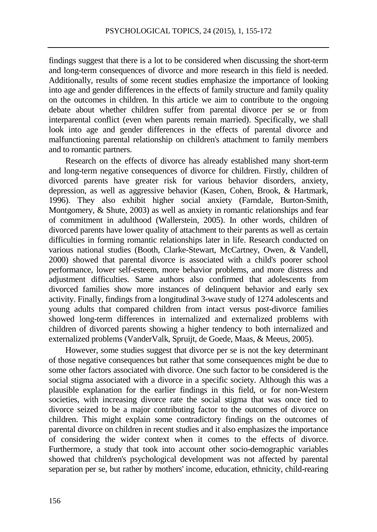findings suggest that there is a lot to be considered when discussing the short-term and long-term consequences of divorce and more research in this field is needed. Additionally, results of some recent studies emphasize the importance of looking into age and gender differences in the effects of family structure and family quality on the outcomes in children. In this article we aim to contribute to the ongoing debate about whether children suffer from parental divorce per se or from interparental conflict (even when parents remain married). Specifically, we shall look into age and gender differences in the effects of parental divorce and malfunctioning parental relationship on children's attachment to family members and to romantic partners.

Research on the effects of divorce has already established many short-term and long-term negative consequences of divorce for children. Firstly, children of divorced parents have greater risk for various behavior disorders, anxiety, depression, as well as aggressive behavior (Kasen, Cohen, Brook, & Hartmark, 1996). They also exhibit higher social anxiety (Farndale, Burton-Smith, Montgomery, & Shute, 2003) as well as anxiety in romantic relationships and fear of commitment in adulthood (Wallerstein, 2005). In other words, children of divorced parents have lower quality of attachment to their parents as well as certain difficulties in forming romantic relationships later in life. Research conducted on various national studies (Booth, Clarke-Stewart, McCartney, Owen, & Vandell, 2000) showed that parental divorce is associated with a child's poorer school performance, lower self-esteem, more behavior problems, and more distress and adjustment difficulties. Same authors also confirmed that adolescents from divorced families show more instances of delinquent behavior and early sex activity. Finally, findings from a longitudinal 3-wave study of 1274 adolescents and young adults that compared children from intact versus post-divorce families showed long-term differences in internalized and externalized problems with children of divorced parents showing a higher tendency to both internalized and externalized problems [\(VanderValk, Spruijt,](http://link.springer.com/search?facet-author=%22Inge+VanderValk+Ph.D.%22) [de Goede, Maas, &](http://link.springer.com/search?facet-author=%22Martijn+de+Goede+Ph.D.%22) Meeus, 2005).

However, some studies suggest that divorce per se is not the key determinant of those negative consequences but rather that some consequences might be due to some other factors associated with divorce. One such factor to be considered is the social stigma associated with a divorce in a specific society. Although this was a plausible explanation for the earlier findings in this field, or for non-Western societies, with increasing divorce rate the social stigma that was once tied to divorce seized to be a major contributing factor to the outcomes of divorce on children. This might explain some contradictory findings on the outcomes of parental divorce on children in recent studies and it also emphasizes the importance of considering the wider context when it comes to the effects of divorce. Furthermore, a study that took into account other socio-demographic variables showed that children's psychological development was not affected by parental separation per se, but rather by mothers' income, education, ethnicity, child-rearing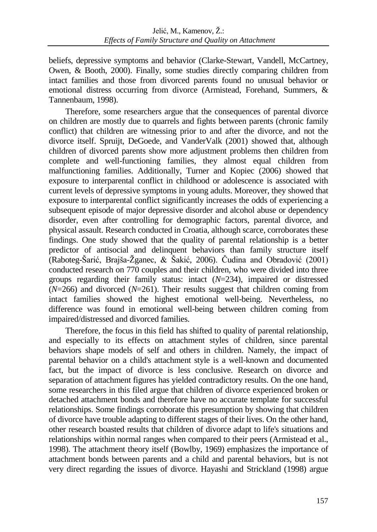beliefs, depressive symptoms and behavior (Clarke-Stewart, Vandell, McCartney, Owen, & Booth, 2000). Finally, some studies directly comparing children from intact families and those from divorced parents found no unusual behavior or emotional distress occurring from divorce (Armistead, Forehand, Summers, & Tannenbaum, 1998).

Therefore, some researchers argue that the consequences of parental divorce on children are mostly due to quarrels and fights between parents (chronic family conflict) that children are witnessing prior to and after the divorce, and not the divorce itself. Spruijt, DeGoede, and VanderValk (2001) showed that, although children of divorced parents show more adjustment problems then children from complete and well-functioning families, they almost equal children from malfunctioning families. Additionally, Turner and Kopiec (2006) showed that exposure to interparental conflict in childhood or adolescence is associated with current levels of depressive symptoms in young adults. Moreover, they showed that exposure to interparental conflict significantly increases the odds of experiencing a subsequent episode of major depressive disorder and alcohol abuse or dependency disorder, even after controlling for demographic factors, parental divorce, and physical assault. Research conducted in Croatia, although scarce, corroborates these findings. One study showed that the quality of parental relationship is a better predictor of antisocial and delinquent behaviors than family structure itself (Raboteg-Šarić, Brajša-Žganec, & Šakić, 2006). Čudina and Obradović (2001) conducted research on 770 couples and their children, who were divided into three groups regarding their family status: intact (*N*=234), impaired or distressed (*N*=266) and divorced (*N*=261). Their results suggest that children coming from intact families showed the highest emotional well-being. Nevertheless, no difference was found in emotional well-being between children coming from impaired/distressed and divorced families.

Therefore, the focus in this field has shifted to quality of parental relationship, and especially to its effects on attachment styles of children, since parental behaviors shape models of self and others in children. Namely, the impact of parental behavior on a child's attachment style is a well-known and documented fact, but the impact of divorce is less conclusive. Research on divorce and separation of attachment figures has yielded contradictory results. On the one hand, some researchers in this filed argue that children of divorce experienced broken or detached attachment bonds and therefore have no accurate template for successful relationships. Some findings corroborate this presumption by showing that children of divorce have trouble adapting to different stages of their lives. On the other hand, other research boasted results that children of divorce adapt to life's situations and relationships within normal ranges when compared to their peers (Armistead et al., 1998). The attachment theory itself (Bowlby, 1969) emphasizes the importance of attachment bonds between parents and a child and parental behaviors, but is not very direct regarding the issues of divorce. Hayashi and Strickland (1998) argue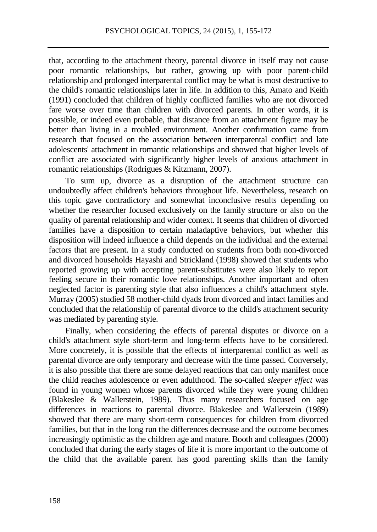that, according to the attachment theory, parental divorce in itself may not cause poor romantic relationships, but rather, growing up with poor parent-child relationship and prolonged interparental conflict may be what is most destructive to the child's romantic relationships later in life. In addition to this, Amato and Keith (1991) concluded that children of highly conflicted families who are not divorced fare worse over time than children with divorced parents. In other words, it is possible, or indeed even probable, that distance from an attachment figure may be better than living in a troubled environment. Another confirmation came from research that focused on the association between interparental conflict and late adolescents' attachment in romantic relationships and showed that higher levels of conflict are associated with significantly higher levels of anxious attachment in romantic relationships (Rodrigues & Kitzmann, 2007).

To sum up, divorce as a disruption of the attachment structure can undoubtedly affect children's behaviors throughout life. Nevertheless, research on this topic gave contradictory and somewhat inconclusive results depending on whether the researcher focused exclusively on the family structure or also on the quality of parental relationship and wider context. It seems that children of divorced families have a disposition to certain maladaptive behaviors, but whether this disposition will indeed influence a child depends on the individual and the external factors that are present. In a study conducted on students from both non-divorced and divorced households Hayashi and Strickland (1998) showed that students who reported growing up with accepting parent-substitutes were also likely to report feeling secure in their romantic love relationships. Another important and often neglected factor is parenting style that also influences a child's attachment style. Murray (2005) studied 58 mother-child dyads from divorced and intact families and concluded that the relationship of parental divorce to the child's attachment security was mediated by parenting style.

Finally, when considering the effects of parental disputes or divorce on a child's attachment style short-term and long-term effects have to be considered. More concretely, it is possible that the effects of interparental conflict as well as parental divorce are only temporary and decrease with the time passed. Conversely, it is also possible that there are some delayed reactions that can only manifest once the child reaches adolescence or even adulthood. The so-called *sleeper effect* was found in young women whose parents divorced while they were young children (Blakeslee & Wallerstein, 1989). Thus many researchers focused on age differences in reactions to parental divorce. Blakeslee and Wallerstein (1989) showed that there are many short-term consequences for children from divorced families, but that in the long run the differences decrease and the outcome becomes increasingly optimistic as the children age and mature. Booth and colleagues (2000) concluded that during the early stages of life it is more important to the outcome of the child that the available parent has good parenting skills than the family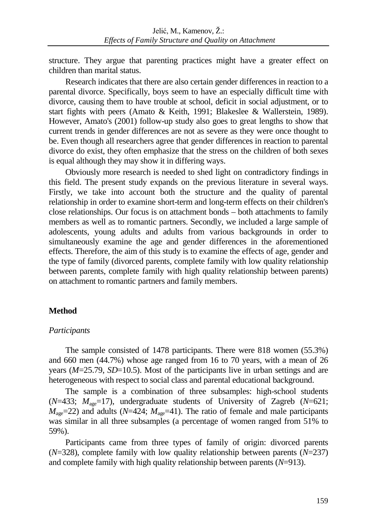structure. They argue that parenting practices might have a greater effect on children than marital status.

Research indicates that there are also certain gender differences in reaction to a parental divorce. Specifically, boys seem to have an especially difficult time with divorce, causing them to have trouble at school, deficit in social adjustment, or to start fights with peers (Amato & Keith, 1991; Blakeslee & Wallerstein, 1989). However, Amato's (2001) follow-up study also goes to great lengths to show that current trends in gender differences are not as severe as they were once thought to be. Even though all researchers agree that gender differences in reaction to parental divorce do exist, they often emphasize that the stress on the children of both sexes is equal although they may show it in differing ways.

Obviously more research is needed to shed light on contradictory findings in this field. The present study expands on the previous literature in several ways. Firstly, we take into account both the structure and the quality of parental relationship in order to examine short-term and long-term effects on their children's close relationships. Our focus is on attachment bonds – both attachments to family members as well as to romantic partners. Secondly, we included a large sample of adolescents, young adults and adults from various backgrounds in order to simultaneously examine the age and gender differences in the aforementioned effects. Therefore, the aim of this study is to examine the effects of age, gender and the type of family (divorced parents, complete family with low quality relationship between parents, complete family with high quality relationship between parents) on attachment to romantic partners and family members.

# **Method**

# *Participants*

The sample consisted of 1478 participants. There were 818 women (55.3%) and 660 men (44.7%) whose age ranged from 16 to 70 years, with a mean of 26 years (*M*=25.79, *SD*=10.5). Most of the participants live in urban settings and are heterogeneous with respect to social class and parental educational background.

The sample is a combination of three subsamples: high-school students (*N*=433; *M*age=17), undergraduate students of University of Zagreb (*N*=621;  $M_{\text{age}}$ =22) and adults (*N*=424;  $M_{\text{age}}$ =41). The ratio of female and male participants was similar in all three subsamples (a percentage of women ranged from 51% to 59%).

Participants came from three types of family of origin: divorced parents (*N*=328), complete family with low quality relationship between parents (*N*=237) and complete family with high quality relationship between parents (*N*=913).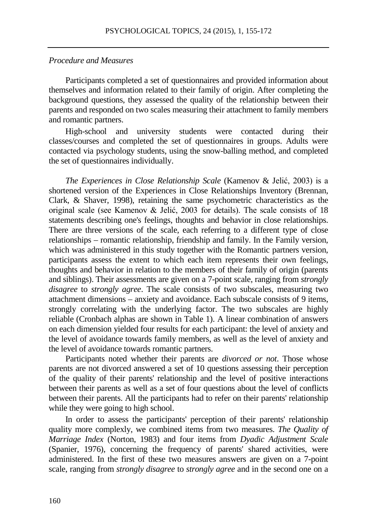#### *Procedure and Measures*

Participants completed a set of questionnaires and provided information about themselves and information related to their family of origin. After completing the background questions, they assessed the quality of the relationship between their parents and responded on two scales measuring their attachment to family members and romantic partners.

High-school and university students were contacted during their classes/courses and completed the set of questionnaires in groups. Adults were contacted via psychology students, using the snow-balling method, and completed the set of questionnaires individually.

*The Experiences in Close Relationship Scale* (Kamenov & Jelić, 2003) is a shortened version of the Experiences in Close Relationships Inventory (Brennan, Clark, & Shaver, 1998), retaining the same psychometric characteristics as the original scale (see Kamenov & Jelić, 2003 for details). The scale consists of 18 statements describing one's feelings, thoughts and behavior in close relationships. There are three versions of the scale, each referring to a different type of close relationships – romantic relationship, friendship and family. In the Family version, which was administered in this study together with the Romantic partners version, participants assess the extent to which each item represents their own feelings, thoughts and behavior in relation to the members of their family of origin (parents and siblings). Their assessments are given on a 7-point scale, ranging from *strongly disagree* to *strongly agree*. The scale consists of two subscales, measuring two attachment dimensions – anxiety and avoidance. Each subscale consists of 9 items, strongly correlating with the underlying factor. The two subscales are highly reliable (Cronbach alphas are shown in Table 1). A linear combination of answers on each dimension yielded four results for each participant: the level of anxiety and the level of avoidance towards family members, as well as the level of anxiety and the level of avoidance towards romantic partners.

Participants noted whether their parents are *divorced or not*. Those whose parents are not divorced answered a set of 10 questions assessing their perception of the quality of their parents' relationship and the level of positive interactions between their parents as well as a set of four questions about the level of conflicts between their parents. All the participants had to refer on their parents' relationship while they were going to high school.

In order to assess the participants' perception of their parents' relationship quality more complexly, we combined items from two measures. *The Quality of Marriage Index* (Norton, 1983) and four items from *Dyadic Adjustment Scale*  (Spanier, 1976), concerning the frequency of parents' shared activities, were administered. In the first of these two measures answers are given on a 7-point scale, ranging from *strongly disagree* to *strongly agree* and in the second one on a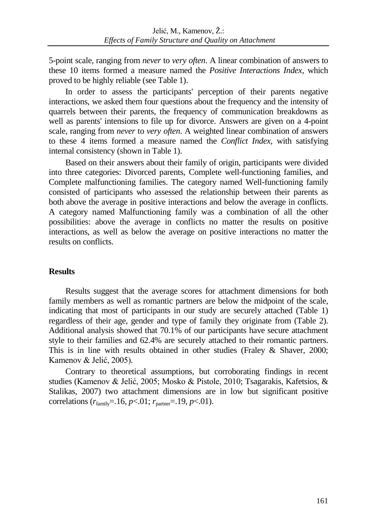5-point scale, ranging from *never* to *very often*. A linear combination of answers to these 10 items formed a measure named the *Positive Interactions Index*, which proved to be highly reliable (see Table 1).

In order to assess the participants' perception of their parents negative interactions, we asked them four questions about the frequency and the intensity of quarrels between their parents, the frequency of communication breakdowns as well as parents' intensions to file up for divorce. Answers are given on a 4-point scale, ranging from *never* to *very often*. A weighted linear combination of answers to these 4 items formed a measure named the *Conflict Index*, with satisfying internal consistency (shown in Table 1).

Based on their answers about their family of origin, participants were divided into three categories: Divorced parents, Complete well-functioning families, and Complete malfunctioning families. The category named Well-functioning family consisted of participants who assessed the relationship between their parents as both above the average in positive interactions and below the average in conflicts. A category named Malfunctioning family was a combination of all the other possibilities: above the average in conflicts no matter the results on positive interactions, as well as below the average on positive interactions no matter the results on conflicts.

# **Results**

Results suggest that the average scores for attachment dimensions for both family members as well as romantic partners are below the midpoint of the scale, indicating that most of participants in our study are securely attached (Table 1) regardless of their age, gender and type of family they originate from (Table 2). Additional analysis showed that 70.1% of our participants have secure attachment style to their families and 62.4% are securely attached to their romantic partners. This is in line with results obtained in other studies (Fraley & Shaver, 2000; Kamenov & Jelić, 2005).

Contrary to theoretical assumptions, but corroborating findings in recent studies (Kamenov & Jelić, 2005; Mosko & Pistole, 2010; Tsagarakis, Kafetsios, & Stalikas, 2007) two attachment dimensions are in low but significant positive correlations  $(r_{\text{family}} = .16, p < .01; r_{\text{partner}} = .19, p < .01)$ .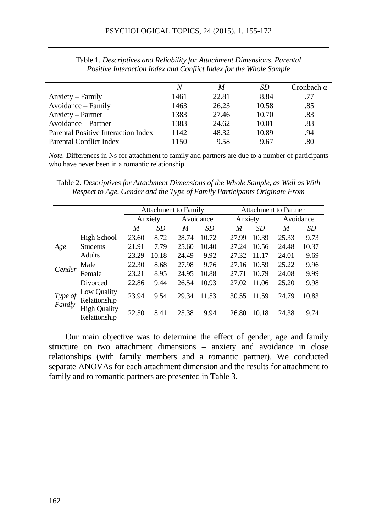|                                     |      | M     | SD    | Cronbach α |
|-------------------------------------|------|-------|-------|------------|
| Anxiety – Family                    | 1461 | 22.81 | 8.84  | .77        |
| Avoidance – Family                  | 1463 | 26.23 | 10.58 | .85        |
| Anxiety – Partner                   | 1383 | 27.46 | 10.70 | .83        |
| Avoidance – Partner                 | 1383 | 24.62 | 10.01 | .83        |
| Parental Positive Interaction Index | 1142 | 48.32 | 10.89 | .94        |
| <b>Parental Conflict Index</b>      | 150  | 9.58  | 9.67  | .80        |

Table 1. *Descriptives and Reliability for Attachment Dimensions, Parental Positive Interaction Index and Conflict Index for the Whole Sample*

*Note.* Differences in Ns for attachment to family and partners are due to a number of participants who have never been in a romantic relationship

Table 2. *Descriptives for Attachment Dimensions of the Whole Sample, as Well as With Respect to Age, Gender and the Type of Family Participants Originate From*

|                   |                                     | <b>Attachment to Family</b> |       |           |       | <b>Attachment to Partner</b> |       |           |       |
|-------------------|-------------------------------------|-----------------------------|-------|-----------|-------|------------------------------|-------|-----------|-------|
|                   |                                     | Anxiety                     |       | Avoidance |       | Anxiety                      |       | Avoidance |       |
|                   |                                     | M                           | SD    | M         | SD    | M                            | SD    | M         | SD    |
| Age               | <b>High School</b>                  | 23.60                       | 8.72  | 28.74     | 10.72 | 27.99                        | 10.39 | 25.33     | 9.73  |
|                   | <b>Students</b>                     | 21.91                       | 7.79  | 25.60     | 10.40 | 27.24                        | 10.56 | 24.48     | 10.37 |
|                   | Adults                              | 23.29                       | 10.18 | 24.49     | 9.92  | 27.32                        | 11.17 | 24.01     | 9.69  |
| Gender            | Male                                | 22.30                       | 8.68  | 27.98     | 9.76  | 27.16                        | 10.59 | 25.22     | 9.96  |
|                   | Female                              | 23.21                       | 8.95  | 24.95     | 10.88 | 27.71                        | 10.79 | 24.08     | 9.99  |
| Type of<br>Family | Divorced                            | 22.86                       | 9.44  | 26.54     | 10.93 | 27.02                        | 11.06 | 25.20     | 9.98  |
|                   | Low Quality<br>Relationship         | 23.94                       | 9.54  | 29.34     | 11.53 | 30.55                        | 11.59 | 24.79     | 10.83 |
|                   | <b>High Quality</b><br>Relationship | 22.50                       | 8.41  | 25.38     | 9.94  | 26.80                        | 10.18 | 24.38     | 9.74  |

Our main objective was to determine the effect of gender, age and family structure on two attachment dimensions – anxiety and avoidance in close relationships (with family members and a romantic partner). We conducted separate ANOVAs for each attachment dimension and the results for attachment to family and to romantic partners are presented in Table 3.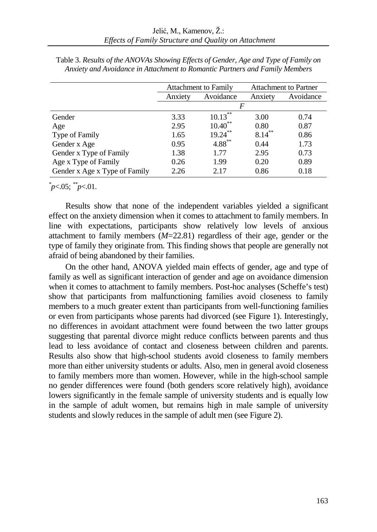|                               |         | <b>Attachment to Family</b> | <b>Attachment to Partner</b> |           |  |  |
|-------------------------------|---------|-----------------------------|------------------------------|-----------|--|--|
|                               | Anxiety | Avoidance                   | Anxiety                      | Avoidance |  |  |
|                               | F       |                             |                              |           |  |  |
| Gender                        | 3.33    | $10.13***$                  | 3.00                         | 0.74      |  |  |
| Age                           | 2.95    | $10.40$ **                  | 0.80                         | 0.87      |  |  |
| Type of Family                | 1.65    | $19.24***$                  | $8.14***$                    | 0.86      |  |  |
| Gender x Age                  | 0.95    | $4.88***$                   | 0.44                         | 1.73      |  |  |
| Gender x Type of Family       | 1.38    | 1.77                        | 2.95                         | 0.73      |  |  |
| Age x Type of Family          | 0.26    | 1.99                        | 0.20                         | 0.89      |  |  |
| Gender x Age x Type of Family | 2.26    | 2.17                        | 0.86                         | 0.18      |  |  |

Table 3. *Results of the ANOVAs Showing Effects of Gender, Age and Type of Family on Anxiety and Avoidance in Attachment to Romantic Partners and Family Members*

*\* p*<.05; *\*\*p*<.01.

Results show that none of the independent variables yielded a significant effect on the anxiety dimension when it comes to attachment to family members. In line with expectations, participants show relatively low levels of anxious attachment to family members (*M*=22.81) regardless of their age, gender or the type of family they originate from. This finding shows that people are generally not afraid of being abandoned by their families.

On the other hand, ANOVA yielded main effects of gender, age and type of family as well as significant interaction of gender and age on avoidance dimension when it comes to attachment to family members. Post-hoc analyses (Scheffe's test) show that participants from malfunctioning families avoid closeness to family members to a much greater extent than participants from well-functioning families or even from participants whose parents had divorced (see Figure 1). Interestingly, no differences in avoidant attachment were found between the two latter groups suggesting that parental divorce might reduce conflicts between parents and thus lead to less avoidance of contact and closeness between children and parents. Results also show that high-school students avoid closeness to family members more than either university students or adults. Also, men in general avoid closeness to family members more than women. However, while in the high-school sample no gender differences were found (both genders score relatively high), avoidance lowers significantly in the female sample of university students and is equally low in the sample of adult women, but remains high in male sample of university students and slowly reduces in the sample of adult men (see Figure 2).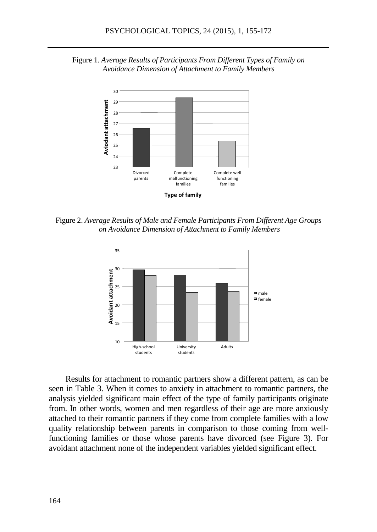



Figure 2. *Average Results of Male and Female Participants From Different Age Groups on Avoidance Dimension of Attachment to Family Members*



Results for attachment to romantic partners show a different pattern, as can be seen in Table 3. When it comes to anxiety in attachment to romantic partners, the analysis yielded significant main effect of the type of family participants originate from. In other words, women and men regardless of their age are more anxiously attached to their romantic partners if they come from complete families with a low quality relationship between parents in comparison to those coming from wellfunctioning families or those whose parents have divorced (see Figure 3). For avoidant attachment none of the independent variables yielded significant effect.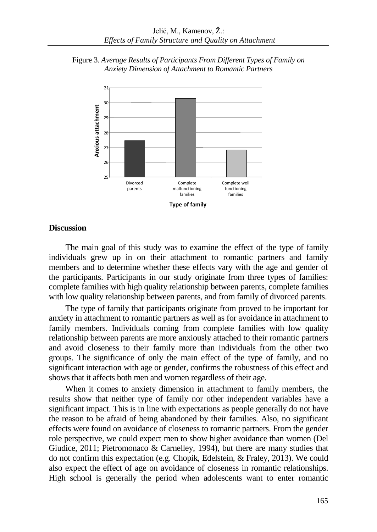



#### **Discussion**

The main goal of this study was to examine the effect of the type of family individuals grew up in on their attachment to romantic partners and family members and to determine whether these effects vary with the age and gender of the participants. Participants in our study originate from three types of families: complete families with high quality relationship between parents, complete families with low quality relationship between parents, and from family of divorced parents.

The type of family that participants originate from proved to be important for anxiety in attachment to romantic partners as well as for avoidance in attachment to family members. Individuals coming from complete families with low quality relationship between parents are more anxiously attached to their romantic partners and avoid closeness to their family more than individuals from the other two groups. The significance of only the main effect of the type of family, and no significant interaction with age or gender, confirms the robustness of this effect and shows that it affects both men and women regardless of their age.

When it comes to anxiety dimension in attachment to family members, the results show that neither type of family nor other independent variables have a significant impact. This is in line with expectations as people generally do not have the reason to be afraid of being abandoned by their families. Also, no significant effects were found on avoidance of closeness to romantic partners. From the gender role perspective, we could expect men to show higher avoidance than women [\(Del](http://www.ncbi.nlm.nih.gov/pubmed/?term=Del%20Giudice%20M%5BAuthor%5D&cauthor=true&cauthor_uid=21239594)  [Giudice, 2](http://www.ncbi.nlm.nih.gov/pubmed/?term=Del%20Giudice%20M%5BAuthor%5D&cauthor=true&cauthor_uid=21239594)011; Pietromonaco & Carnelley, 1994), but there are many studies that do not confirm this expectation (e.g. Chopik, Edelstein, & Fraley, 2013). We could also expect the effect of age on avoidance of closeness in romantic relationships. High school is generally the period when adolescents want to enter romantic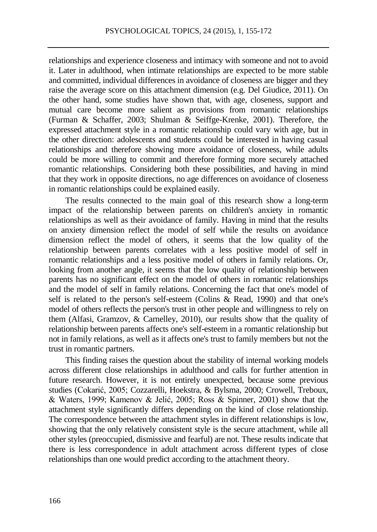relationships and experience closeness and intimacy with someone and not to avoid it. Later in adulthood, when intimate relationships are expected to be more stable and committed, individual differences in avoidance of closeness are bigger and they raise the average score on this attachment dimension (e.g. [Del Giudice, 2](http://www.ncbi.nlm.nih.gov/pubmed/?term=Del%20Giudice%20M%5BAuthor%5D&cauthor=true&cauthor_uid=21239594)011). On the other hand, some studies have shown that, with age, closeness, support and mutual care become more salient as provisions from romantic relationships (Furman & Schaffer, 2003; Shulman & Seiffge-Krenke, 2001). Therefore, the expressed attachment style in a romantic relationship could vary with age, but in the other direction: adolescents and students could be interested in having casual relationships and therefore showing more avoidance of closeness, while adults could be more willing to commit and therefore forming more securely attached romantic relationships. Considering both these possibilities, and having in mind that they work in opposite directions, no age differences on avoidance of closeness in romantic relationships could be explained easily.

The results connected to the main goal of this research show a long-term impact of the relationship between parents on children's anxiety in romantic relationships as well as their avoidance of family. Having in mind that the results on anxiety dimension reflect the model of self while the results on avoidance dimension reflect the model of others, it seems that the low quality of the relationship between parents correlates with a less positive model of self in romantic relationships and a less positive model of others in family relations. Or, looking from another angle, it seems that the low quality of relationship between parents has no significant effect on the model of others in romantic relationships and the model of self in family relations. Concerning the fact that one's model of self is related to the person's self-esteem (Colins & Read, 1990) and that one's model of others reflects the person's trust in other people and willingness to rely on them (Alfasi, Gramzov, & Carnelley, 2010), our results show that the quality of relationship between parents affects one's self-esteem in a romantic relationship but not in family relations, as well as it affects one's trust to family members but not the trust in romantic partners.

This finding raises the question about the stability of internal working models across different close relationships in adulthood and calls for further attention in future research. However, it is not entirely unexpected, because some previous studies (Cokarić, 2005; Cozzarelli, Hoekstra, & Bylsma, 2000; Crowell, Treboux, & Waters, 1999; Kamenov & Jelić, 2005; Ross & Spinner, 2001) show that the attachment style significantly differs depending on the kind of close relationship. The correspondence between the attachment styles in different relationships is low, showing that the only relatively consistent style is the secure attachment, while all other styles (preoccupied, dismissive and fearful) are not. These results indicate that there is less correspondence in adult attachment across different types of close relationships than one would predict according to the attachment theory.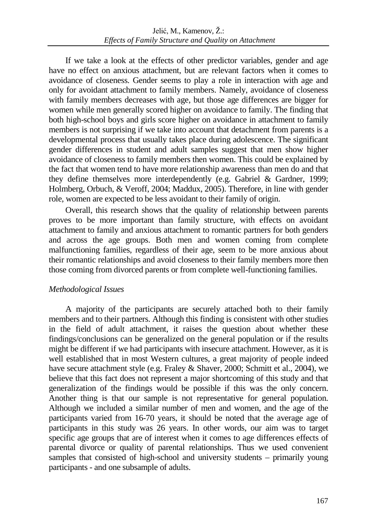If we take a look at the effects of other predictor variables, gender and age have no effect on anxious attachment, but are relevant factors when it comes to avoidance of closeness. Gender seems to play a role in interaction with age and only for avoidant attachment to family members. Namely, avoidance of closeness with family members decreases with age, but those age differences are bigger for women while men generally scored higher on avoidance to family. The finding that both high-school boys and girls score higher on avoidance in attachment to family members is not surprising if we take into account that detachment from parents is a developmental process that usually takes place during adolescence. The significant gender differences in student and adult samples suggest that men show higher avoidance of closeness to family members then women. This could be explained by the fact that women tend to have more relationship awareness than men do and that they define themselves more interdependently (e.g. Gabriel & Gardner, 1999; Holmberg, Orbuch, & Veroff, 2004; Maddux, 2005). Therefore, in line with gender role, women are expected to be less avoidant to their family of origin.

Overall, this research shows that the quality of relationship between parents proves to be more important than family structure, with effects on avoidant attachment to family and anxious attachment to romantic partners for both genders and across the age groups. Both men and women coming from complete malfunctioning families, regardless of their age, seem to be more anxious about their romantic relationships and avoid closeness to their family members more then those coming from divorced parents or from complete well-functioning families.

# *Methodological Issues*

A majority of the participants are securely attached both to their family members and to their partners. Although this finding is consistent with other studies in the field of adult attachment, it raises the question about whether these findings/conclusions can be generalized on the general population or if the results might be different if we had participants with insecure attachment. However, as it is well established that in most Western cultures, a great majority of people indeed have secure attachment style (e.g. Fraley & Shaver, 2000; Schmitt et al., 2004), we believe that this fact does not represent a major shortcoming of this study and that generalization of the findings would be possible if this was the only concern. Another thing is that our sample is not representative for general population. Although we included a similar number of men and women, and the age of the participants varied from 16-70 years, it should be noted that the average age of participants in this study was 26 years. In other words, our aim was to target specific age groups that are of interest when it comes to age differences effects of parental divorce or quality of parental relationships. Thus we used convenient samples that consisted of high-school and university students – primarily young participants - and one subsample of adults.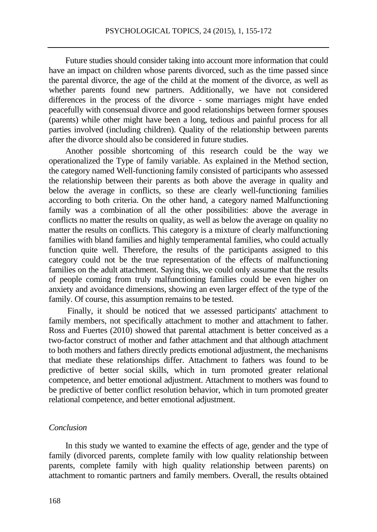Future studies should consider taking into account more information that could have an impact on children whose parents divorced, such as the time passed since the parental divorce, the age of the child at the moment of the divorce, as well as whether parents found new partners. Additionally, we have not considered differences in the process of the divorce - some marriages might have ended peacefully with consensual divorce and good relationships between former spouses (parents) while other might have been a long, tedious and painful process for all parties involved (including children). Quality of the relationship between parents after the divorce should also be considered in future studies.

Another possible shortcoming of this research could be the way we operationalized the Type of family variable. As explained in the Method section, the category named Well-functioning family consisted of participants who assessed the relationship between their parents as both above the average in quality and below the average in conflicts, so these are clearly well-functioning families according to both criteria. On the other hand, a category named Malfunctioning family was a combination of all the other possibilities: above the average in conflicts no matter the results on quality, as well as below the average on quality no matter the results on conflicts. This category is a mixture of clearly malfunctioning families with bland families and highly temperamental families, who could actually function quite well. Therefore, the results of the participants assigned to this category could not be the true representation of the effects of malfunctioning families on the adult attachment. Saying this, we could only assume that the results of people coming from truly malfunctioning families could be even higher on anxiety and avoidance dimensions, showing an even larger effect of the type of the family. Of course, this assumption remains to be tested.

Finally, it should be noticed that we assessed participants' attachment to family members, not specifically attachment to mother and attachment to father. Ross and Fuertes (2010) showed that parental attachment is better conceived as a two-factor construct of mother and father attachment and that although attachment to both mothers and fathers directly predicts emotional adjustment, the mechanisms that mediate these relationships differ. Attachment to fathers was found to be predictive of better social skills, which in turn promoted greater relational competence, and better emotional adjustment. Attachment to mothers was found to be predictive of better conflict resolution behavior, which in turn promoted greater relational competence, and better emotional adjustment.

## *Conclusion*

In this study we wanted to examine the effects of age, gender and the type of family (divorced parents, complete family with low quality relationship between parents, complete family with high quality relationship between parents) on attachment to romantic partners and family members. Overall, the results obtained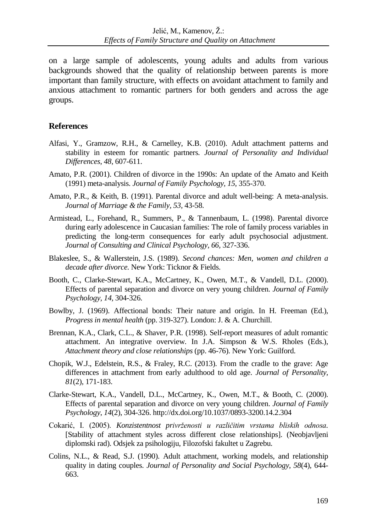on a large sample of adolescents, young adults and adults from various backgrounds showed that the quality of relationship between parents is more important than family structure, with effects on avoidant attachment to family and anxious attachment to romantic partners for both genders and across the age groups.

# **References**

- Alfasi, Y., Gramzow, R.H., & Carnelley, K.B. (2010). Adult attachment patterns and stability in esteem for romantic partners. *Journal of Personality and Individual Differences*, *48*, 607-611.
- Amato, P.R. (2001). Children of divorce in the 1990s: An update of the Amato and Keith (1991) meta-analysis. *Journal of Family Psychology, 15,* 355-370.
- Amato, P.R., & Keith, B. (1991). Parental divorce and adult well-being: A meta-analysis. *Journal of Marriage & the Family, 53,* 43-58.
- Armistead, L., Forehand, R., Summers, P., & Tannenbaum, L. (1998). Parental divorce during early adolescence in Caucasian families: The role of family process variables in predicting the long-term consequences for early adult psychosocial adjustment. *Journal of Consulting and Clinical Psychology, 66,* 327-336.
- Blakeslee, S., & Wallerstein, J.S. (1989). *Second chances: Men, women and children a decade after divorce.* New York: Ticknor & Fields.
- Booth, C., Clarke-Stewart, K.A., McCartney, K., Owen, M.T., & Vandell, D.L. (2000). Effects of parental separation and divorce on very young children. *Journal of Family Psychology, 14,* 304-326.
- Bowlby, J. (1969). Affectional bonds: Their nature and origin. In H. Freeman (Ed.), *Progress in mental health* (pp. 319-327). London: J. & A. Churchill.
- Brennan, K.A., Clark, C.L., & Shaver, P.R. (1998). Self-report measures of adult romantic attachment. An integrative overview. In J.A. Simpson & W.S. Rholes (Eds.), *Attachment theory and close relationships* (pp. 46-76). New York: Guilford.
- Chopik, W.J., Edelstein, R.S., & Fraley, R.C. (2013). From the cradle to the grave: Age differences in attachment from early adulthood to old age. *Journal of Personality, 81*(2), 171-183.
- Clarke-Stewart, K.A., Vandell, D.L., McCartney, K., Owen, M.T., & Booth, C. (2000). Effects of parental separation and divorce on very young children. *Journal of Family Psychology*, *14*(2), 304-326[. http://dx.doi.org/10.1037/0893-3200.14.2.304](http://psycnet.apa.org/doi/10.1037/0893-3200.14.2.304)
- Cokarić, I. (2005). *Konzistentnost privrženosti u različitim vrstama bliskih odnosa.* [Stability of attachment styles across different close relationships]. (Neobjavljeni diplomski rad). Odsjek za psihologiju, Filozofski fakultet u Zagrebu.
- Colins, N.L., & Read, S.J. (1990). Adult attachment, working models, and relationship quality in dating couples. *Journal of Personality and Social Psychology*, *58*(4), 644- 663.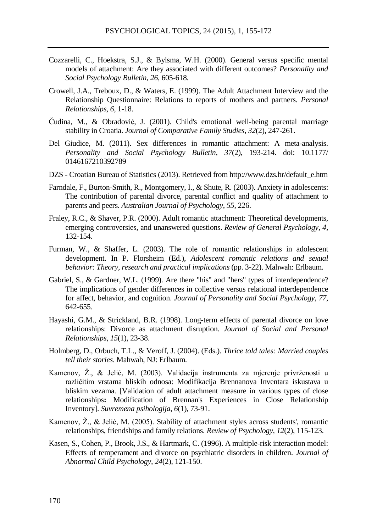- Cozzarelli, C., Hoekstra, S.J., & Bylsma, W.H. (2000). General versus specific mental models of attachment: Are they associated with different outcomes? *Personality and Social Psychology Bulletin, 26*, 605-618.
- Crowell, J.A., Treboux, D., & Waters, E. (1999). The Adult Attachment Interview and the Relationship Questionnaire: Relations to reports of mothers and partners. *Personal Relationships, 6*, 1-18.
- Čudina, M., & Obradović, J. (2001). Child's emotional well-being parental marriage stability in Croatia. *[Journal of Comparative Family Studies](http://acnp.cib.unibo.it/cgi-ser/start/en/cnr/df-p.tcl?issn=00472328&m040=ACNP&m040=TEMP&language=ENGLISH)*, *32*(2), 247-261.
- [Del Giudice,](http://www.ncbi.nlm.nih.gov/pubmed/?term=Del%20Giudice%20M%5BAuthor%5D&cauthor=true&cauthor_uid=21239594) M. (2011). Sex differences in romantic attachment: A meta-analysis. *Personality and Social Psychology Bulletin, 37*(2), 193-214. doi: 10.1177/ 0146167210392789
- DZS Croatian Bureau of Statistics (2013). Retrieved from http://www.dzs.hr/default\_e.htm
- Farndale, F., Burton-Smith, R., Montgomery, I., & Shute, R. (2003). Anxiety in adolescents: The contribution of parental divorce, parental conflict and quality of attachment to parents and peers. *Australian Journal of Psychology*, *55*, 226.
- Fraley, R.C., & Shaver, P.R. (2000). Adult romantic attachment: Theoretical developments, emerging controversies, and unanswered questions. *Review of General Psychology*, *4,* 132-154.
- Furman, W., & Shaffer, L. (2003). The role of romantic relationships in adolescent development. In P. Florsheim (Ed.), *Adolescent romantic relations and sexual behavior: Theory, research and practical implications* (pp. 3-22). Mahwah: Erlbaum.
- Gabriel, S., & Gardner, W.L. (1999). Are there "his" and "hers" types of interdependence? The implications of gender differences in collective versus relational interdependence for affect, behavior, and cognition. *Journal of Personality and Social Psychology, 77*, 642-655.
- Hayashi, G.M., & Strickland, B.R. (1998). Long-term effects of parental divorce on love relationships: Divorce as attachment disruption. *Journal of Social and Personal Relationships, 15*(1), 23-38.
- Holmberg, D., Orbuch, T.L., & Veroff, J. (2004). (Eds.). *Thrice told tales: Married couples tell their stories*. Mahwah, NJ: Erlbaum.
- Kamenov, Ž., & Jelić, M. (2003). Validacija instrumenta za mjerenje privrženosti u različitim vrstama bliskih odnosa: Modifikacija Brennanova Inventara iskustava u bliskim vezama. [Validation of adult attachment measure in various types of close relationships**:** Modification of Brennan's Experiences in Close Relationship Inventory]. *Suvremena psihologija*, *6*(1), 73-91.
- Kamenov, Ž., & Jelić, M. (2005). [Stability of attachment styles across students', romantic](http://bib.irb.hr/prikazi-rad?&rad=270442)  [relationships, friendships and family relations.](http://bib.irb.hr/prikazi-rad?&rad=270442) *Review of Psychology, 12*(2), 115-123.
- Kasen, S., Cohen, P., Brook, J.S., & Hartmark, C. (1996). A multiple-risk interaction model: Effects of temperament and divorce on psychiatric disorders in children. *Journal of Abnormal Child Psychology, 24*(2), 121-150.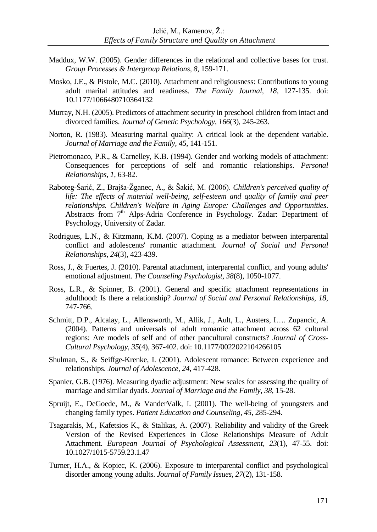- Maddux, W.W. (2005). Gender differences in the relational and collective bases for trust. *Group Processes & Intergroup Relations, 8*, 159-171.
- Mosko, J.E., & Pistole, M.C. (2010). Attachment and religiousness: Contributions to young adult marital attitudes and readiness. *The Family Journal, 18,* 127-135. doi: 10.1177/1066480710364132
- Murray, N.H. (2005). Predictors of attachment security in preschool children from intact and divorced families. *[Journal of](http://www.ncbi.nlm.nih.gov/pubmed/16173670) Genetic Psychology, 166*(3), 245-263.
- Norton, R. (1983). Measuring marital quality: A critical look at the dependent variable. *Journal of Marriage and the Family, 45*, 141-151.
- Pietromonaco, P.R., & Carnelley, K.B. (1994). Gender and working models of attachment: Consequences for perceptions of self and romantic relationships. *Personal Relationships, 1,* 63-82.
- Raboteg-Šarić, Z., Brajša-Žganec, A., & Šakić, M. (2006). *Children's perceived quality of life: The effects of material well-being, self-esteem and quality of family and peer relationships. Children's Welfare in Aging Europe: Challenges and Opportunities*. Abstracts from 7<sup>th</sup> Alps-Adria Conference in Psychology. Zadar: Department of Psychology, University of Zadar.
- Rodrigues, L.N., & Kitzmann, K.M. (2007). Coping as a mediator between interparental conflict and adolescents' romantic attachment. *Journal of Social and Personal Relationships, 24*(3)*,* 423-439.
- Ross, J., & Fuertes, J. (2010). Parental attachment, interparental conflict, and young adults' emotional adjustment. *The Counseling Psychologist, 38*(8)*,* 1050-1077.
- Ross, L.R., & Spinner, B. (2001). General and specific attachment representations in adulthood: Is there a relationship? *Journal of Social and Personal Relationships, 18*, 747-766.
- Schmitt, D.P., Alcalay, L., Allensworth, M., Allik, J., Ault, L., Austers, I…. Zupancic, A. (2004). Patterns and universals of adult romantic attachment across 62 cultural regions: Are models of self and of other pancultural constructs? *Journal of Cross-Cultural Psychology*, *35*(4), 367-402. doi: 10.1177/0022022104266105
- Shulman, S., & Seiffge-Krenke, I. (2001). Adolescent romance: Between experience and relationships. *Journal of Adolescence, 24,* 417-428.
- Spanier, G.B. (1976). Measuring dyadic adjustment: New scales for assessing the quality of marriage and similar dyads. *Journal of Marriage and the Family, 38,* 15-28.
- Spruijt, E., DeGoede, M., & VanderValk, I. (2001). The well-being of youngsters and changing family types. *Patient Education and Counseling*, *45*, 285-294.
- Tsagarakis, M., Kafetsios K., & Stalikas, A. (2007). Reliability and validity of the Greek Version of the Revised Experiences in Close Relationships Measure of Adult Attachment. *European Journal of Psychological Assessment*, *23*(1), 47-55. doi: 10.1027/1015-5759.23.1.47
- Turner, H.A., & Kopiec, K. (2006). Exposure to interparental conflict and psychological disorder among young adults. *Journal of Family Issues, 27*(2)*,* 131-158.